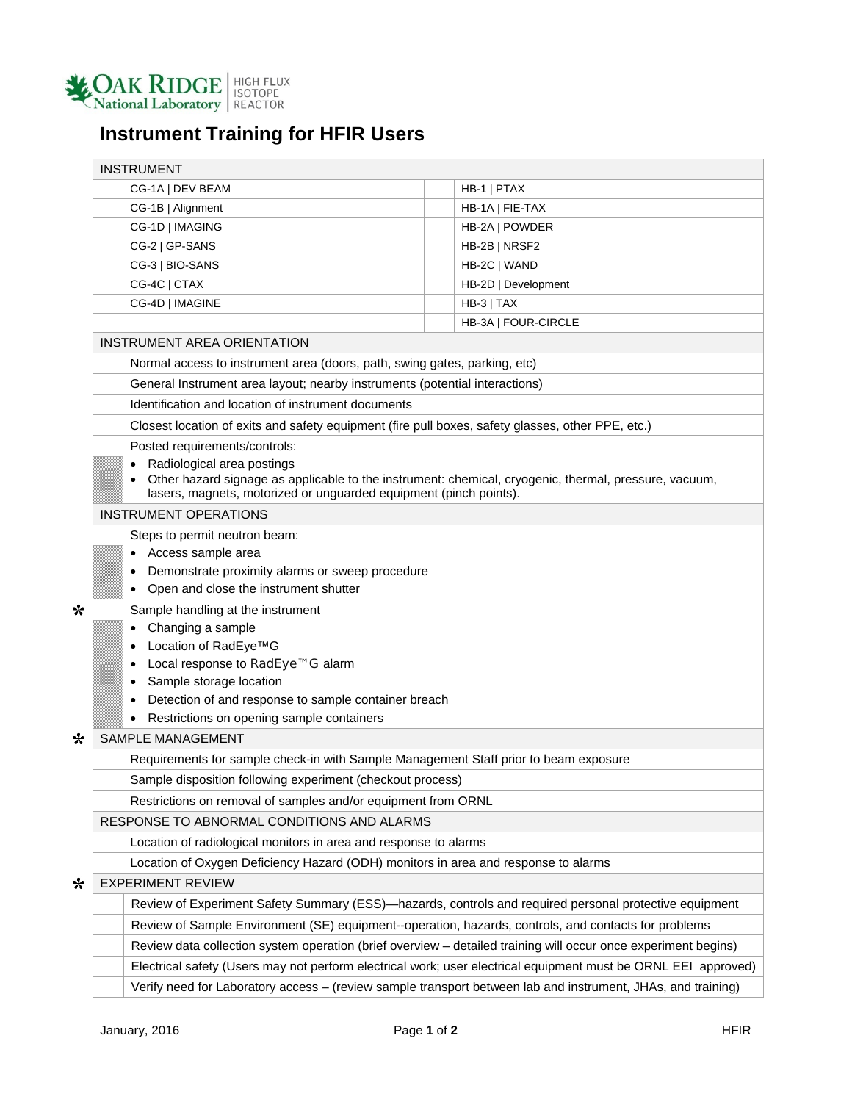

## **Instrument Training for HFIR Users**

|   | <b>INSTRUMENT</b>                                                                                                                                                          |  |                     |  |  |  |  |
|---|----------------------------------------------------------------------------------------------------------------------------------------------------------------------------|--|---------------------|--|--|--|--|
|   | CG-1A   DEV BEAM                                                                                                                                                           |  | HB-1   PTAX         |  |  |  |  |
|   | CG-1B   Alignment                                                                                                                                                          |  | HB-1A   FIE-TAX     |  |  |  |  |
|   | CG-1D   IMAGING                                                                                                                                                            |  | HB-2A   POWDER      |  |  |  |  |
|   | CG-2   GP-SANS                                                                                                                                                             |  | HB-2B   NRSF2       |  |  |  |  |
|   | CG-3   BIO-SANS                                                                                                                                                            |  | HB-2C   WAND        |  |  |  |  |
|   | CG-4C   CTAX                                                                                                                                                               |  | HB-2D   Development |  |  |  |  |
|   | CG-4D   IMAGINE                                                                                                                                                            |  | $HB-3$   TAX        |  |  |  |  |
|   |                                                                                                                                                                            |  | HB-3A   FOUR-CIRCLE |  |  |  |  |
|   | INSTRUMENT AREA ORIENTATION                                                                                                                                                |  |                     |  |  |  |  |
|   | Normal access to instrument area (doors, path, swing gates, parking, etc)                                                                                                  |  |                     |  |  |  |  |
|   | General Instrument area layout; nearby instruments (potential interactions)                                                                                                |  |                     |  |  |  |  |
|   | Identification and location of instrument documents                                                                                                                        |  |                     |  |  |  |  |
|   | Closest location of exits and safety equipment (fire pull boxes, safety glasses, other PPE, etc.)                                                                          |  |                     |  |  |  |  |
|   | Posted requirements/controls:                                                                                                                                              |  |                     |  |  |  |  |
|   | Radiological area postings                                                                                                                                                 |  |                     |  |  |  |  |
|   | Other hazard signage as applicable to the instrument: chemical, cryogenic, thermal, pressure, vacuum,<br>lasers, magnets, motorized or unguarded equipment (pinch points). |  |                     |  |  |  |  |
|   | <b>INSTRUMENT OPERATIONS</b>                                                                                                                                               |  |                     |  |  |  |  |
|   | Steps to permit neutron beam:                                                                                                                                              |  |                     |  |  |  |  |
|   | • Access sample area                                                                                                                                                       |  |                     |  |  |  |  |
|   | Demonstrate proximity alarms or sweep procedure                                                                                                                            |  |                     |  |  |  |  |
|   | Open and close the instrument shutter                                                                                                                                      |  |                     |  |  |  |  |
| ∗ | Sample handling at the instrument                                                                                                                                          |  |                     |  |  |  |  |
|   | Changing a sample                                                                                                                                                          |  |                     |  |  |  |  |
|   | Location of RadEye™G                                                                                                                                                       |  |                     |  |  |  |  |
|   | Local response to RadEye™G alarm                                                                                                                                           |  |                     |  |  |  |  |
|   | Sample storage location                                                                                                                                                    |  |                     |  |  |  |  |
|   | Detection of and response to sample container breach                                                                                                                       |  |                     |  |  |  |  |
|   | Restrictions on opening sample containers                                                                                                                                  |  |                     |  |  |  |  |
| ∗ | <b>SAMPLE MANAGEMENT</b>                                                                                                                                                   |  |                     |  |  |  |  |
|   | Requirements for sample check-in with Sample Management Staff prior to beam exposure                                                                                       |  |                     |  |  |  |  |
|   | Sample disposition following experiment (checkout process)                                                                                                                 |  |                     |  |  |  |  |
|   | Restrictions on removal of samples and/or equipment from ORNL                                                                                                              |  |                     |  |  |  |  |
|   | RESPONSE TO ABNORMAL CONDITIONS AND ALARMS                                                                                                                                 |  |                     |  |  |  |  |
|   | Location of radiological monitors in area and response to alarms                                                                                                           |  |                     |  |  |  |  |
|   | Location of Oxygen Deficiency Hazard (ODH) monitors in area and response to alarms                                                                                         |  |                     |  |  |  |  |
| * | <b>EXPERIMENT REVIEW</b>                                                                                                                                                   |  |                     |  |  |  |  |
|   | Review of Experiment Safety Summary (ESS)—hazards, controls and required personal protective equipment                                                                     |  |                     |  |  |  |  |
|   | Review of Sample Environment (SE) equipment--operation, hazards, controls, and contacts for problems                                                                       |  |                     |  |  |  |  |
|   | Review data collection system operation (brief overview - detailed training will occur once experiment begins)                                                             |  |                     |  |  |  |  |
|   | Electrical safety (Users may not perform electrical work; user electrical equipment must be ORNL EEI approved)                                                             |  |                     |  |  |  |  |
|   | Verify need for Laboratory access - (review sample transport between lab and instrument, JHAs, and training)                                                               |  |                     |  |  |  |  |
|   |                                                                                                                                                                            |  |                     |  |  |  |  |